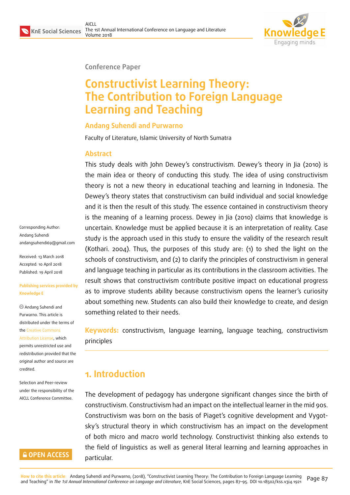

#### **Conference Paper**

# **Constructivist Learning Theory: The Contribution to Foreign Language Learning and Teaching**

#### **Andang Suhendi and Purwarno**

Faculty of Literature, Islamic University of North Sumatra

#### **Abstract**

This study deals with John Dewey's constructivism. Dewey's theory in Jia (2010) is the main idea or theory of conducting this study. The idea of using constructivism theory is not a new theory in educational teaching and learning in Indonesia. The Dewey's theory states that constructivism can build individual and social knowledge and it is then the result of this study. The essence contained in constructivism theory is the meaning of a learning process. Dewey in Jia (2010) claims that knowledge is uncertain. Knowledge must be applied because it is an interpretation of reality. Case study is the approach used in this study to ensure the validity of the research result (Kothari. 2004). Thus, the purposes of this study are: (1) to shed the light on the schools of constructivism, and (2) to clarify the principles of constructivism in general and language teaching in particular as its contributions in the classroom activities. The result shows that constructivism contribute positive impact on educational progress as to improve students ability because constructivism opens the learner's curiosity about something new. Students can also build their knowledge to create, and design something related to their needs.

**Keywords:** constructivism, language learning, language teaching, constructivism principles

# **1. Introduction**

The development of pedagogy has undergone significant changes since the birth of constructivism. Constructivism had an impact on the intellectual learner in the mid 90s. Constructivism was born on the basis of Piaget's cognitive development and Vygotsky's structural theory in which constructivism has an impact on the development of both micro and macro world technology. Constructivist thinking also extends to the field of linguistics as well as general literal learning and learning approaches in particular.

Corresponding Author: Andang Suhendi andangsuhendi69@gmail.com

Received: 13 March 2018 Accepted: 10 April 2018 [Published: 19 April 2018](mailto:andangsuhendi69@gmail.com)

#### **Publishing services provided by Knowledge E**

Andang Suhendi and Purwarno. This article is distributed under the terms of the Creative Commons

Attribution License, which permits unrestricted use and redistribution provided that the ori[ginal author and sou](https://creativecommons.org/licenses/by/4.0/)rce are [credited.](https://creativecommons.org/licenses/by/4.0/)

Selection and Peer-review under the responsibility of the AICLL Conference Committee.

#### **GOPEN ACCESS**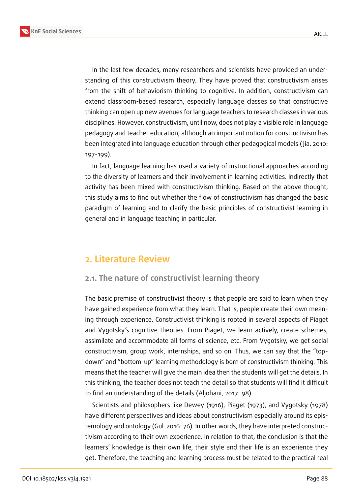

In the last few decades, many researchers and scientists have provided an understanding of this constructivism theory. They have proved that constructivism arises from the shift of behaviorism thinking to cognitive. In addition, constructivism can extend classroom-based research, especially language classes so that constructive thinking can open up new avenues for language teachers to research classes in various disciplines. However, constructivism, until now, does not play a visible role in language pedagogy and teacher education, although an important notion for constructivism has been integrated into language education through other pedagogical models ( Jia. 2010: 197-199).

In fact, language learning has used a variety of instructional approaches according to the diversity of learners and their involvement in learning activities. Indirectly that activity has been mixed with constructivism thinking. Based on the above thought, this study aims to find out whether the flow of constructivism has changed the basic paradigm of learning and to clarify the basic principles of constructivist learning in general and in language teaching in particular.

## **2. Literature Review**

#### **2.1. The nature of constructivist learning theory**

The basic premise of constructivist theory is that people are said to learn when they have gained experience from what they learn. That is, people create their own meaning through experience. Constructivist thinking is rooted in several aspects of Piaget and Vygotsky's cognitive theories. From Piaget, we learn actively, create schemes, assimilate and accommodate all forms of science, etc. From Vygotsky, we get social constructivism, group work, internships, and so on. Thus, we can say that the "topdown" and "bottom-up" learning methodology is born of constructivism thinking. This means that the teacher will give the main idea then the students will get the details. In this thinking, the teacher does not teach the detail so that students will find it difficult to find an understanding of the details (Aljohani, 2017: 98).

Scientists and philosophers like Dewey (1916), Piaget (1973), and Vygotsky (1978) have different perspectives and ideas about constructivism especially around its epistemology and ontology (Gul. 2016: 76). In other words, they have interpreted constructivism according to their own experience. In relation to that, the conclusion is that the learners' knowledge is their own life, their style and their life is an experience they get. Therefore, the teaching and learning process must be related to the practical real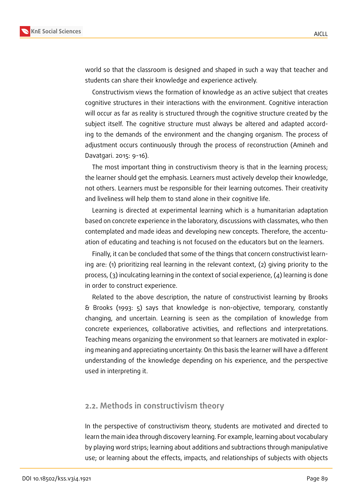

world so that the classroom is designed and shaped in such a way that teacher and students can share their knowledge and experience actively.

Constructivism views the formation of knowledge as an active subject that creates cognitive structures in their interactions with the environment. Cognitive interaction will occur as far as reality is structured through the cognitive structure created by the subject itself. The cognitive structure must always be altered and adapted according to the demands of the environment and the changing organism. The process of adjustment occurs continuously through the process of reconstruction (Amineh and Davatgari. 2015: 9-16).

The most important thing in constructivism theory is that in the learning process; the learner should get the emphasis. Learners must actively develop their knowledge, not others. Learners must be responsible for their learning outcomes. Their creativity and liveliness will help them to stand alone in their cognitive life.

Learning is directed at experimental learning which is a humanitarian adaptation based on concrete experience in the laboratory, discussions with classmates, who then contemplated and made ideas and developing new concepts. Therefore, the accentuation of educating and teaching is not focused on the educators but on the learners.

Finally, it can be concluded that some of the things that concern constructivist learning are: (1) prioritizing real learning in the relevant context, (2) giving priority to the process, (3) inculcating learning in the context of social experience, (4) learning is done in order to construct experience.

Related to the above description, the nature of constructivist learning by Brooks & Brooks (1993: 5) says that knowledge is non-objective, temporary, constantly changing, and uncertain. Learning is seen as the compilation of knowledge from concrete experiences, collaborative activities, and reflections and interpretations. Teaching means organizing the environment so that learners are motivated in exploring meaning and appreciating uncertainty. On this basis the learner will have a different understanding of the knowledge depending on his experience, and the perspective used in interpreting it.

#### **2.2. Methods in constructivism theory**

In the perspective of constructivism theory, students are motivated and directed to learn the main idea through discovery learning. For example, learning about vocabulary by playing word strips; learning about additions and subtractions through manipulative use; or learning about the effects, impacts, and relationships of subjects with objects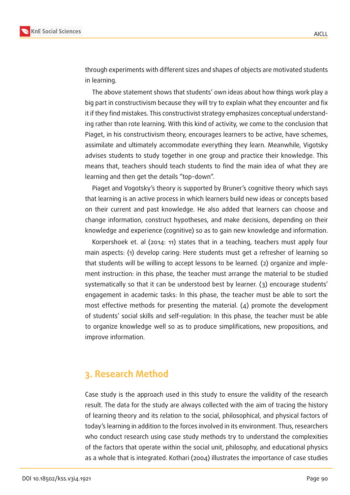

through experiments with different sizes and shapes of objects are motivated students in learning.

The above statement shows that students' own ideas about how things work play a big part in constructivism because they will try to explain what they encounter and fix it if they find mistakes. This constructivist strategy emphasizes conceptual understanding rather than rote learning. With this kind of activity, we come to the conclusion that Piaget, in his constructivism theory, encourages learners to be active, have schemes, assimilate and ultimately accommodate everything they learn. Meanwhile, Vigotsky advises students to study together in one group and practice their knowledge. This means that, teachers should teach students to find the main idea of what they are learning and then get the details "top-down".

Piaget and Vogotsky's theory is supported by Bruner's cognitive theory which says that learning is an active process in which learners build new ideas or concepts based on their current and past knowledge. He also added that learners can choose and change information, construct hypotheses, and make decisions, depending on their knowledge and experience (cognitive) so as to gain new knowledge and information.

Korpershoek et. al (2014: 11) states that in a teaching, teachers must apply four main aspects: (1) develop caring: Here students must get a refresher of learning so that students will be willing to accept lessons to be learned. (2) organize and implement instruction: in this phase, the teacher must arrange the material to be studied systematically so that it can be understood best by learner. (3) encourage students' engagement in academic tasks: In this phase, the teacher must be able to sort the most effective methods for presenting the material. (4) promote the development of students' social skills and self-regulation: In this phase, the teacher must be able to organize knowledge well so as to produce simplifications, new propositions, and improve information.

## **3. Research Method**

Case study is the approach used in this study to ensure the validity of the research result. The data for the study are always collected with the aim of tracing the history of learning theory and its relation to the social, philosophical, and physical factors of today's learning in addition to the forces involved in its environment. Thus, researchers who conduct research using case study methods try to understand the complexities of the factors that operate within the social unit, philosophy, and educational physics as a whole that is integrated. Kothari (2004) illustrates the importance of case studies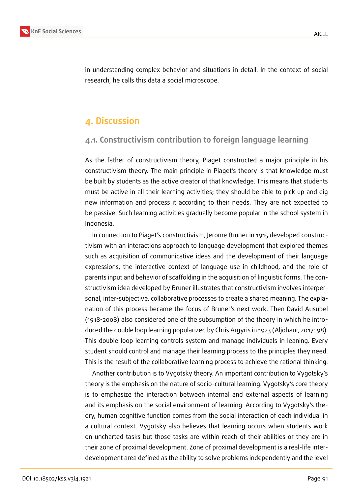

in understanding complex behavior and situations in detail. In the context of social research, he calls this data a social microscope.

# **4. Discussion**

### **4.1. Constructivism contribution to foreign language learning**

As the father of constructivism theory, Piaget constructed a major principle in his constructivism theory. The main principle in Piaget's theory is that knowledge must be built by students as the active creator of that knowledge. This means that students must be active in all their learning activities; they should be able to pick up and dig new information and process it according to their needs. They are not expected to be passive. Such learning activities gradually become popular in the school system in Indonesia.

In connection to Piaget's constructivism, Jerome Bruner in 1915 developed constructivism with an interactions approach to language development that explored themes such as acquisition of communicative ideas and the development of their language expressions, the interactive context of language use in childhood, and the role of parents input and behavior of scaffolding in the acquisition of linguistic forms. The constructivism idea developed by Bruner illustrates that constructivism involves interpersonal, inter-subjective, collaborative processes to create a shared meaning. The explanation of this process became the focus of Bruner's next work. Then David Ausubel (1918-2008) also considered one of the subsumption of the theory in which he introduced the double loop learning popularized by Chris Argyris in 1923 (Aljohani, 2017: 98). This double loop learning controls system and manage individuals in leaning. Every student should control and manage their learning process to the principles they need. This is the result of the collaborative learning process to achieve the rational thinking.

Another contribution is to Vygotsky theory. An important contribution to Vygotsky's theory is the emphasis on the nature of socio-cultural learning. Vygotsky's core theory is to emphasize the interaction between internal and external aspects of learning and its emphasis on the social environment of learning. According to Vygotsky's theory, human cognitive function comes from the social interaction of each individual in a cultural context. Vygotsky also believes that learning occurs when students work on uncharted tasks but those tasks are within reach of their abilities or they are in their zone of proximal development. Zone of proximal development is a real-life interdevelopment area defined as the ability to solve problems independently and the level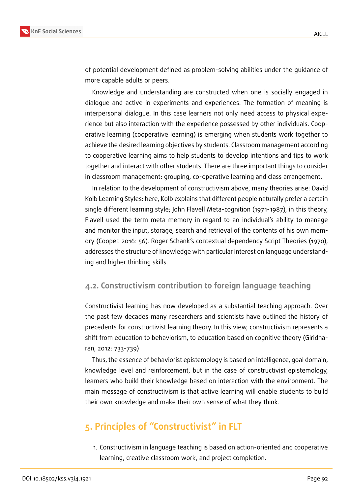

of potential development defined as problem-solving abilities under the guidance of more capable adults or peers.

Knowledge and understanding are constructed when one is socially engaged in dialogue and active in experiments and experiences. The formation of meaning is interpersonal dialogue. In this case learners not only need access to physical experience but also interaction with the experience possessed by other individuals. Cooperative learning (cooperative learning) is emerging when students work together to achieve the desired learning objectives by students. Classroom management according to cooperative learning aims to help students to develop intentions and tips to work together and interact with other students. There are three important things to consider in classroom management: grouping, co-operative learning and class arrangement.

In relation to the development of constructivism above, many theories arise: David Kolb Learning Styles: here, Kolb explains that different people naturally prefer a certain single different learning style; John Flavell Meta-cognition (1971-1987), in this theory, Flavell used the term meta memory in regard to an individual's ability to manage and monitor the input, storage, search and retrieval of the contents of his own memory (Cooper. 2016: 56). Roger Schank's contextual dependency Script Theories (1970), addresses the structure of knowledge with particular interest on language understanding and higher thinking skills.

#### **4.2. Constructivism contribution to foreign language teaching**

Constructivist learning has now developed as a substantial teaching approach. Over the past few decades many researchers and scientists have outlined the history of precedents for constructivist learning theory. In this view, constructivism represents a shift from education to behaviorism, to education based on cognitive theory (Giridharan, 2012: 733-739)

Thus, the essence of behaviorist epistemology is based on intelligence, goal domain, knowledge level and reinforcement, but in the case of constructivist epistemology, learners who build their knowledge based on interaction with the environment. The main message of constructivism is that active learning will enable students to build their own knowledge and make their own sense of what they think.

# **5. Principles of "Constructivist" in FLT**

1. Constructivism in language teaching is based on action-oriented and cooperative learning, creative classroom work, and project completion.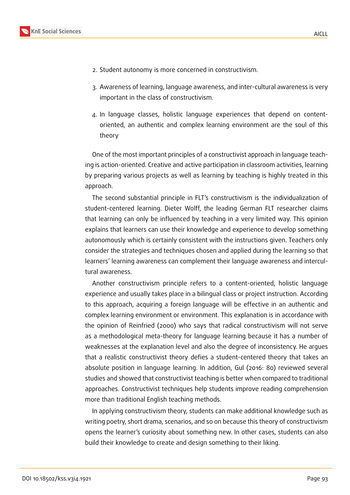

- 2. Student autonomy is more concerned in constructivism.
- 3. Awareness of learning, language awareness, and inter-cultural awareness is very important in the class of constructivism.
- 4. In language classes, holistic language experiences that depend on contentoriented, an authentic and complex learning environment are the soul of this theory

One of the most important principles of a constructivist approach in language teaching is action-oriented. Creative and active participation in classroom activities, learning by preparing various projects as well as learning by teaching is highly treated in this approach.

The second substantial principle in FLT's constructivism is the individualization of student-centered learning. Dieter Wolff, the leading German FLT researcher claims that learning can only be influenced by teaching in a very limited way. This opinion explains that learners can use their knowledge and experience to develop something autonomously which is certainly consistent with the instructions given. Teachers only consider the strategies and techniques chosen and applied during the learning so that learners' learning awareness can complement their language awareness and intercultural awareness.

Another constructivism principle refers to a content-oriented, holistic language experience and usually takes place in a bilingual class or project instruction. According to this approach, acquiring a foreign language will be effective in an authentic and complex learning environment or environment. This explanation is in accordance with the opinion of Reinfried (2000) who says that radical constructivism will not serve as a methodological meta-theory for language learning because it has a number of weaknesses at the explanation level and also the degree of inconsistency. He argues that a realistic constructivist theory defies a student-centered theory that takes an absolute position in language learning. In addition, Gul (2016: 80) reviewed several studies and showed that constructivist teaching is better when compared to traditional approaches. Constructivist techniques help students improve reading comprehension more than traditional English teaching methods.

In applying constructivism theory, students can make additional knowledge such as writing poetry, short drama, scenarios, and so on because this theory of constructivism opens the learner's curiosity about something new. In other cases, students can also build their knowledge to create and design something to their liking.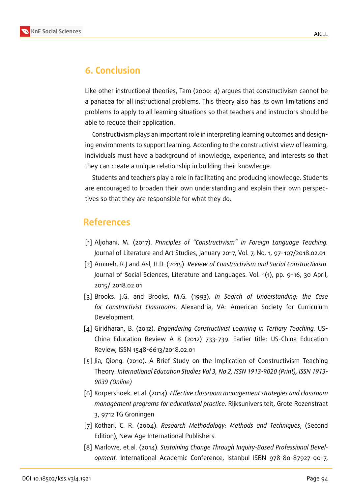

# **6. Conclusion**

Like other instructional theories, Tam (2000: 4) argues that constructivism cannot be a panacea for all instructional problems. This theory also has its own limitations and problems to apply to all learning situations so that teachers and instructors should be able to reduce their application.

Constructivism plays an important role in interpreting learning outcomes and designing environments to support learning. According to the constructivist view of learning, individuals must have a background of knowledge, experience, and interests so that they can create a unique relationship in building their knowledge.

Students and teachers play a role in facilitating and producing knowledge. Students are encouraged to broaden their own understanding and explain their own perspectives so that they are responsible for what they do.

## **References**

- [1] Aljohani, M. (2017). *Principles of "Constructivism" in Foreign Language Teaching.* Journal of Literature and Art Studies, January 2017, Vol. 7, No. 1, 97-107/2018.02.01
- [2] Amineh, R.J and Asl, H.D. (2015). *Review of Constructivism and Social Constructivism.* Journal of Social Sciences, Literature and Languages. Vol. 1(1), pp. 9-16, 30 April, 2015/ 2018.02.01
- [3] Brooks. J.G. and Brooks, M.G. (1993). *In Search of Understanding: the Case for Constructivist Classrooms*. Alexandria, VA: American Society for Curriculum Development.
- [4] Giridharan, B. (2012). *Engendering Constructivist Learning in Tertiary Teaching.* US-China Education Review A 8 (2012) 733-739. Earlier title: US-China Education Review, ISSN 1548-6613/2018.02.01
- [5] Jia, Qiong. (2010). A Brief Study on the Implication of Constructivism Teaching Theory*. International Education Studies Vol 3, No 2, ISSN 1913-9020 (Print), ISSN 1913- 9039 (Online)*
- [6] Korpershoek. et.al. (2014). *Effective classroom management strategies and classroom management programs for educational practice.* Rijksuniversiteit, Grote Rozenstraat 3, 9712 TG Groningen
- [7] Kothari, C. R. (2004). *Research Methodology: Methods and Techniques*, (Second Edition), New Age International Publishers.
- [8] Marlowe, et.al. (2014). *Sustaining Change Through Inquiry-Based Professional Development.* International Academic Conference, Istanbul ISBN 978-80-87927-00-7,